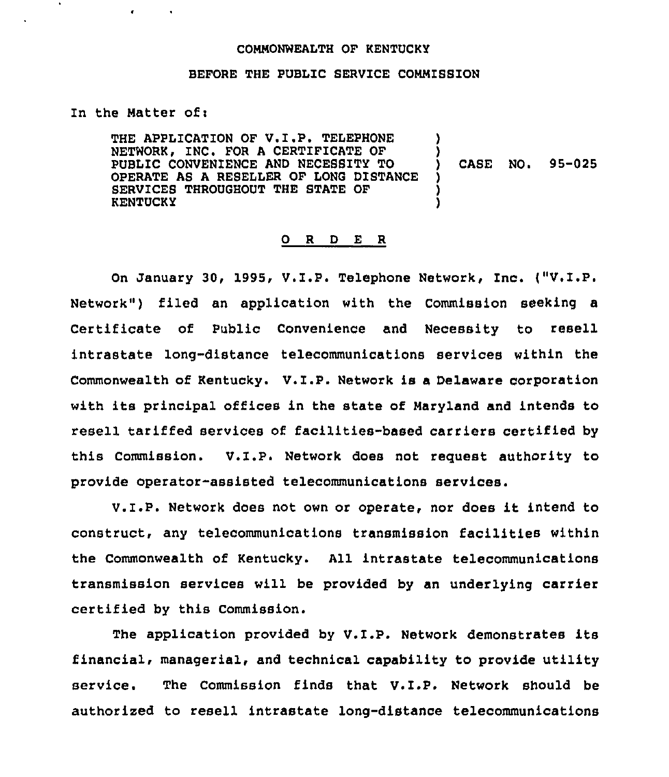## COMMONWEALTH OF KENTUCKY

## BEFORE THE PUBLIC SERVICE COMMISSION

## In the Matter of:

THE APPLICATION OF V.I.P. TELEPHONE NETWORK, INC. FOR A CERTIFICATE OF PUBLIC CONVENIENCE AND NECESBITY TO OPERATE AS A RESELLER OF LONG DISTANCE SERVICES THROUGHOUT THE STATE OF **KENTUCKY** ) ) ) CASE NO. 95-025 ) ) )

## 0 <sup>R</sup> <sup>D</sup> E <sup>R</sup>

On January 30, 1995, V.I.P. Telephone Network, Inc. ("V.I.P. Network") filed an application with the Commission seeking a Certificate of Public Convenience and Necessity to resell intrastate long-distance telecommunications services within the Commonwealth of Kentucky. V.I.P. Network is <sup>a</sup> Delaware corporation with its principal offices in the state of Haryland and intends to resell tariffed services of facilities-based carriers certified by this Commission. V.Z.P. Network does not request authority to provide operator-assisted telecommunications services.

V.Z.P. Network does not own or operate, nor does lt intend to construct, any telecommunications transmission facilities within the Commonwealth of Kentucky. All intrastate telecommunications transmission services will be provided by an underlying carrier certified by this Commission.

The application provided by V.I.P. Network demonstrates its financial, managerial, and technical capability to provide utility service. The Commission finds that V.I.P. Network should be authorized to resell intrastate long-distance telecommunications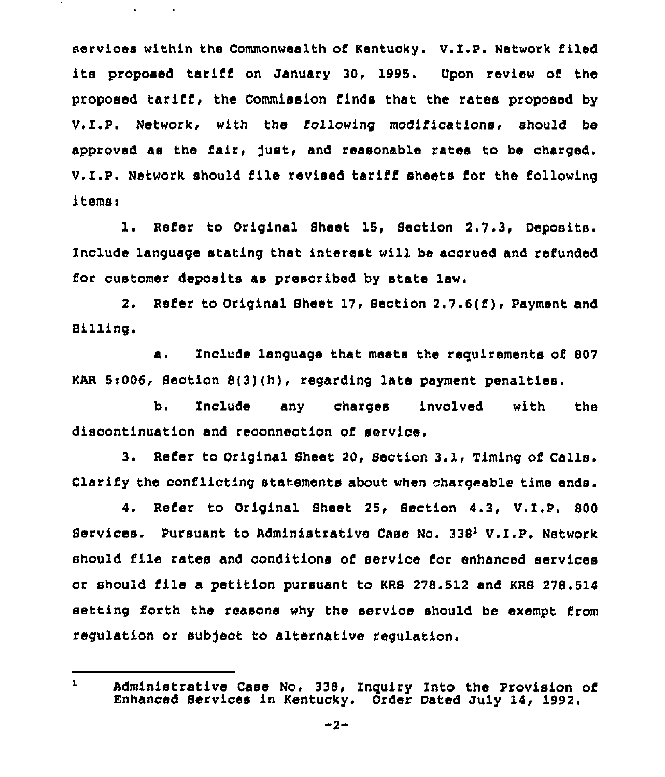services within the Commonwealth of Kentucky. V.I.P. Network filed its proposed tariff on January 30, 1995. Upon review of the proposed tarifi, the Commission finds that the rates proposed by V.I.P. Network, with the following modifications, should be approved as the fair, Just, and reasonable rates to be charged. V.I.P. Network should file revised tariff sheets for the following items:

1. Refer to Original Sheet 15, Section 2.7.3, Deposits. Include language stating that interest will be accrued and refunded for customer deposits as prescribed by state law.

2. Refer to Original Sheet 17, Section 2.7.6(f), Payment and Billing.

a. Include language that meets the requirements of <sup>807</sup> KAR 5:006, Section 8(3)(h), regarding late payment penalties.

 $b.$ Include any charges involved with the discontinuation and reconnection of service.

3. Refer to Original Sheet 20, Section 3.1, Timing of Calls. Clarify the conflicting statements about when chargeable time ends.

4. Refer to Original Sheet 25, Section 4.3, V.I.P. 800 Services. Pursuant to Administrative Case No. 338<sup>1</sup> V.I.P. Network should file rates and conditions of service for enhanced services or should file a petition pursuant to KRS 278.512 and KRB 278.514 setting forth the reasons why the service should be exempt from regulation or subject to alternative regulation.

 $\mathbf{L}$ Administrative Case No. 338, Inquiry Into the Provision of Enhanced Services in Kentucky. Order Dated July 14, 1992.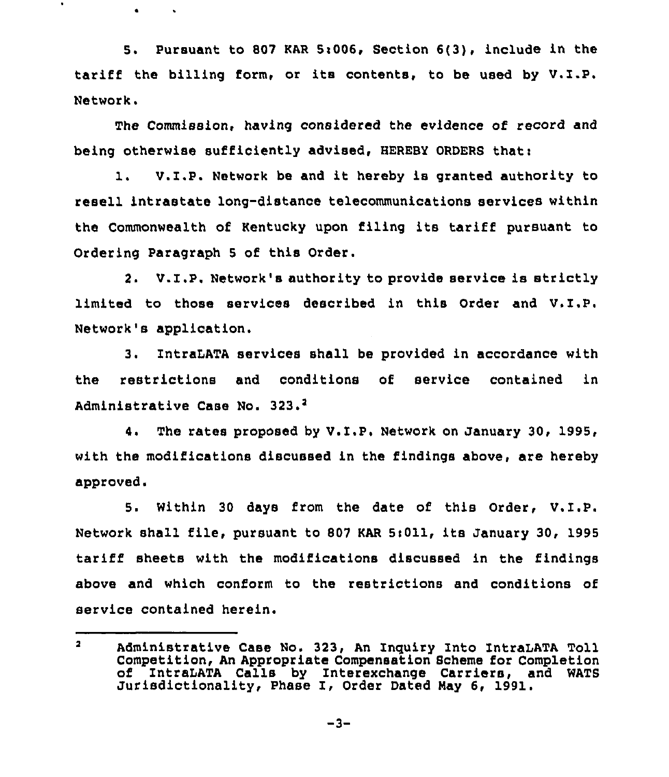5. Pursuant to 807 KAR 5:006, Section  $6(3)$ , include in the tariff the billing form, or its contents, to be used by V.I.P. Network.

 $\bullet$ 

The Commission, having considered the evidence of record and being otherwise sufficiently advised, HEREBY ORDERS that:

1. V.I.P. Network be and it hereby is granted authority to resell intrastate long-distance telecommunications services within the Commonwealth of Kentucky upon filing its tariff pursuant to Ordering Paragraph <sup>5</sup> of this Order.

2. V.I.P. Network's authority to provide service is strictly limited to those services described in this Order and V.I,P. Network's application.

3. IntraLATA services shall be provided in accordance with the restrictions and conditions of service contained in Administrative Case No. 323.<sup>2</sup>

4. The rates proposed by V.I.P. Network on January 30, 1995, with the modifications discussed in the findings above, are hereby approved.

5. Within <sup>30</sup> days from the date of this Order, V.I.P. Network shall file, pursuant to 807 KAR 5:011, its January 30, 1995 tariff sheets with the modifications discussed in the findings above and which conform to the restrictions and conditions of service contained herein.

 $\overline{\mathbf{z}}$ Administrative Case No. 323, An Inquiry Into IntraLATA Toll Competition, An Appropriate Compensation Scheme for Completion of IntraLATA Calls by Interexchange Carriers, and WATS Jurisdictionality, Phase I, Order Dated Nay 6, 1991.